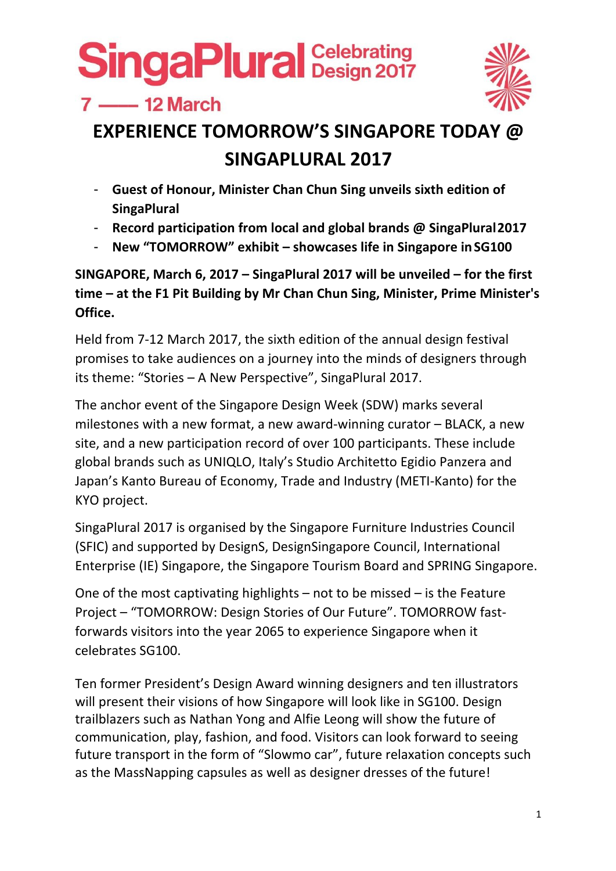$7 \longrightarrow 12$  March



## **EXPERIENCE TOMORROW'S SINGAPORE TODAY @ SINGAPLURAL 2017**

- **Guest of Honour, Minister Chan Chun Sing unveils sixth edition of SingaPlural**
- **Record participation from local and global brands @ SingaPlural2017**
- **New "TOMORROW" exhibit – showcases life in Singapore inSG100**

**SINGAPORE, March 6, 2017 – SingaPlural 2017 will be unveiled – for the first time – at the F1 Pit Building by Mr Chan Chun Sing, Minister, Prime Minister's Office.**

Held from 7‐12 March 2017, the sixth edition of the annual design festival promises to take audiences on a journey into the minds of designers through its theme: "Stories – A New Perspective", SingaPlural 2017.

The anchor event of the Singapore Design Week (SDW) marks several milestones with a new format, a new award‐winning curator – BLACK, a new site, and a new participation record of over 100 participants. These include global brands such as UNIQLO, Italy's Studio Architetto Egidio Panzera and Japan's Kanto Bureau of Economy, Trade and Industry (METI‐Kanto) for the KYO project.

SingaPlural 2017 is organised by the Singapore Furniture Industries Council (SFIC) and supported by DesignS, DesignSingapore Council, International Enterprise (IE) Singapore, the Singapore Tourism Board and SPRING Singapore.

One of the most captivating highlights – not to be missed – is the Feature Project – "TOMORROW: Design Stories of Our Future". TOMORROW fast‐ forwards visitors into the year 2065 to experience Singapore when it celebrates SG100.

Ten former President's Design Award winning designers and ten illustrators will present their visions of how Singapore will look like in SG100. Design trailblazers such as Nathan Yong and Alfie Leong will show the future of communication, play, fashion, and food. Visitors can look forward to seeing future transport in the form of "Slowmo car", future relaxation concepts such as the MassNapping capsules as well as designer dresses of the future!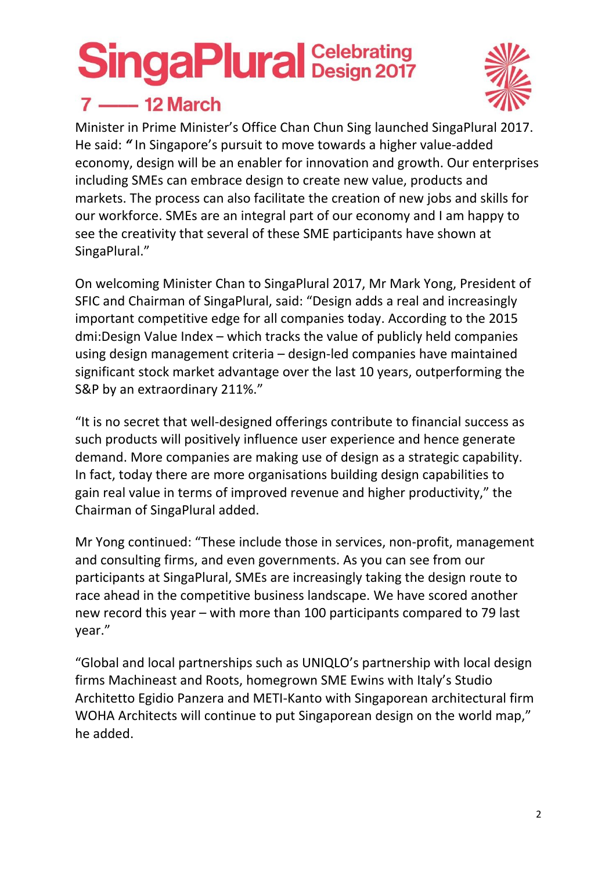

### $7 \longrightarrow 12$  March

Minister in Prime Minister's Office Chan Chun Sing launched SingaPlural 2017. He said: *"* In Singapore's pursuit to move towards a higher value‐added economy, design will be an enabler for innovation and growth. Our enterprises including SMEs can embrace design to create new value, products and markets. The process can also facilitate the creation of new jobs and skills for our workforce. SMEs are an integral part of our economy and I am happy to see the creativity that several of these SME participants have shown at SingaPlural."

On welcoming Minister Chan to SingaPlural 2017, Mr Mark Yong, President of SFIC and Chairman of SingaPlural, said: "Design adds a real and increasingly important competitive edge for all companies today. According to the 2015 dmi:Design Value Index – which tracks the value of publicly held companies using design management criteria – design‐led companies have maintained significant stock market advantage over the last 10 years, outperforming the S&P by an extraordinary 211%."

"It is no secret that well‐designed offerings contribute to financial success as such products will positively influence user experience and hence generate demand. More companies are making use of design as a strategic capability. In fact, today there are more organisations building design capabilities to gain real value in terms of improved revenue and higher productivity," the Chairman of SingaPlural added.

Mr Yong continued: "These include those in services, non‐profit, management and consulting firms, and even governments. As you can see from our participants at SingaPlural, SMEs are increasingly taking the design route to race ahead in the competitive business landscape. We have scored another new record this year – with more than 100 participants compared to 79 last year."

"Global and local partnerships such as UNIQLO's partnership with local design firms Machineast and Roots, homegrown SME Ewins with Italy's Studio Architetto Egidio Panzera and METI‐Kanto with Singaporean architectural firm WOHA Architects will continue to put Singaporean design on the world map," he added.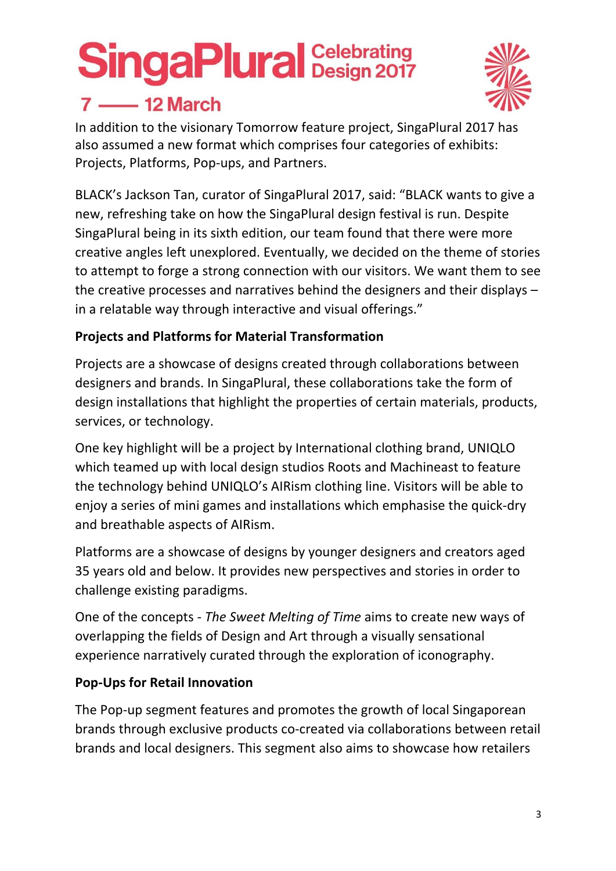## $7$  - 12 March



In addition to the visionary Tomorrow feature project, SingaPlural 2017 has also assumed a new format which comprises four categories of exhibits: Projects, Platforms, Pop‐ups, and Partners.

BLACK's Jackson Tan, curator of SingaPlural 2017, said: "BLACK wants to give a new, refreshing take on how the SingaPlural design festival is run. Despite SingaPlural being in its sixth edition, our team found that there were more creative angles left unexplored. Eventually, we decided on the theme of stories to attempt to forge a strong connection with our visitors. We want them to see the creative processes and narratives behind the designers and their displays – in a relatable way through interactive and visual offerings."

#### **Projects and Platforms for Material Transformation**

Projects are a showcase of designs created through collaborations between designers and brands. In SingaPlural, these collaborations take the form of design installations that highlight the properties of certain materials, products, services, or technology.

One key highlight will be a project by International clothing brand, UNIQLO which teamed up with local design studios Roots and Machineast to feature the technology behind UNIQLO's AIRism clothing line. Visitors will be able to enjoy a series of mini games and installations which emphasise the quick‐dry and breathable aspects of AIRism.

Platforms are a showcase of designs by younger designers and creators aged 35 years old and below. It provides new perspectives and stories in order to challenge existing paradigms.

One of the concepts ‐ *The Sweet Melting of Time* aims to create new ways of overlapping the fields of Design and Art through a visually sensational experience narratively curated through the exploration of iconography.

#### **Pop‐Ups for Retail Innovation**

The Pop‐up segment features and promotes the growth of local Singaporean brands through exclusive products co‐created via collaborations between retail brands and local designers. This segment also aims to showcase how retailers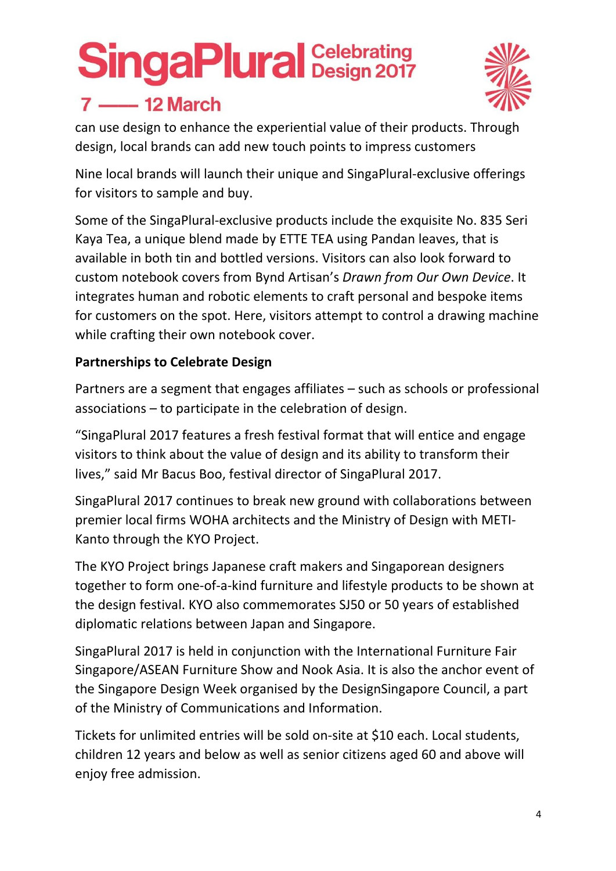

### $7$  - 12 March

can use design to enhance the experiential value of their products. Through design, local brands can add new touch points to impress customers

Nine local brands will launch their unique and SingaPlural‐exclusive offerings for visitors to sample and buy.

Some of the SingaPlural‐exclusive products include the exquisite No. 835 Seri Kaya Tea, a unique blend made by ETTE TEA using Pandan leaves, that is available in both tin and bottled versions. Visitors can also look forward to custom notebook covers from Bynd Artisan's *Drawn from Our Own Device*. It integrates human and robotic elements to craft personal and bespoke items for customers on the spot. Here, visitors attempt to control a drawing machine while crafting their own notebook cover.

#### **Partnerships to Celebrate Design**

Partners are a segment that engages affiliates – such as schools or professional associations – to participate in the celebration of design.

"SingaPlural 2017 features a fresh festival format that will entice and engage visitors to think about the value of design and its ability to transform their lives," said Mr Bacus Boo, festival director of SingaPlural 2017.

SingaPlural 2017 continues to break new ground with collaborations between premier local firms WOHA architects and the Ministry of Design with METI‐ Kanto through the KYO Project.

The KYO Project brings Japanese craft makers and Singaporean designers together to form one‐of‐a‐kind furniture and lifestyle products to be shown at the design festival. KYO also commemorates SJ50 or 50 years of established diplomatic relations between Japan and Singapore.

SingaPlural 2017 is held in conjunction with the International Furniture Fair Singapore/ASEAN Furniture Show and Nook Asia. It is also the anchor event of the Singapore Design Week organised by the DesignSingapore Council, a part of the Ministry of Communications and Information.

Tickets for unlimited entries will be sold on‐site at \$10 each. Local students, children 12 years and below as well as senior citizens aged 60 and above will enjoy free admission.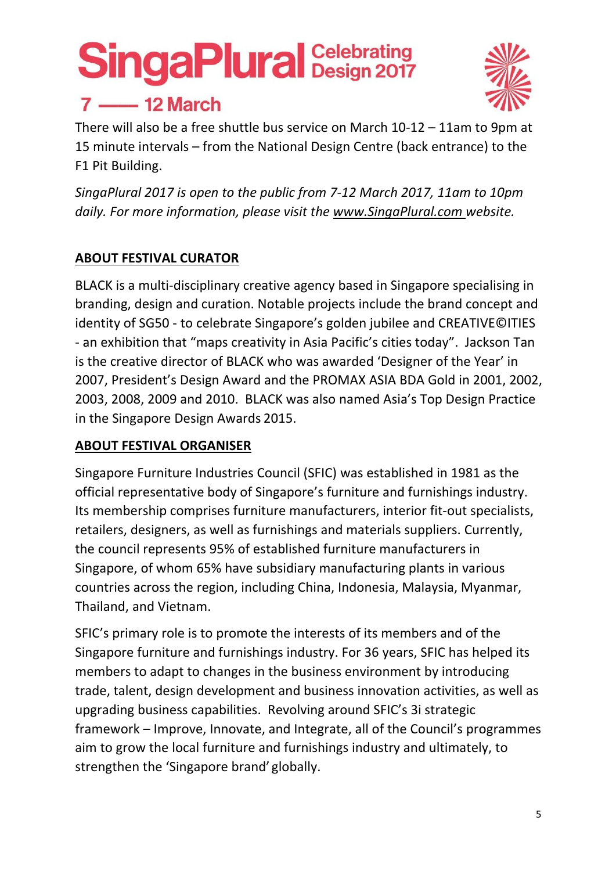## $7$  - 12 March



There will also be a free shuttle bus service on March 10‐12 – 11am to 9pm at 15 minute intervals – from the National Design Centre (back entrance) to the F1 Pit Building.

*SingaPlural 2017 is open to the public from 7‐12 March 2017, 11am to 10pm daily. For more information, please visit the www.SingaPlural.com website.*

#### **ABOUT FESTIVAL CURATOR**

BLACK is a multi‐disciplinary creative agency based in Singapore specialising in branding, design and curation. Notable projects include the brand concept and identity of SG50 ‐ to celebrate Singapore's golden jubilee and CREATIVE©ITIES ‐ an exhibition that "maps creativity in Asia Pacific's cities today". Jackson Tan is the creative director of BLACK who was awarded 'Designer of the Year' in 2007, President's Design Award and the PROMAX ASIA BDA Gold in 2001, 2002, 2003, 2008, 2009 and 2010. BLACK was also named Asia's Top Design Practice in the Singapore Design Awards 2015.

#### **ABOUT FESTIVAL ORGANISER**

Singapore Furniture Industries Council (SFIC) was established in 1981 as the official representative body of Singapore's furniture and furnishings industry. Its membership comprises furniture manufacturers, interior fit‐out specialists, retailers, designers, as well as furnishings and materials suppliers. Currently, the council represents 95% of established furniture manufacturers in Singapore, of whom 65% have subsidiary manufacturing plants in various countries across the region, including China, Indonesia, Malaysia, Myanmar, Thailand, and Vietnam.

SFIC's primary role is to promote the interests of its members and of the Singapore furniture and furnishings industry. For 36 years, SFIC has helped its members to adapt to changes in the business environment by introducing trade, talent, design development and business innovation activities, as well as upgrading business capabilities. Revolving around SFIC's 3i strategic framework – Improve, Innovate, and Integrate, all of the Council's programmes aim to grow the local furniture and furnishings industry and ultimately, to strengthen the 'Singapore brand' globally.